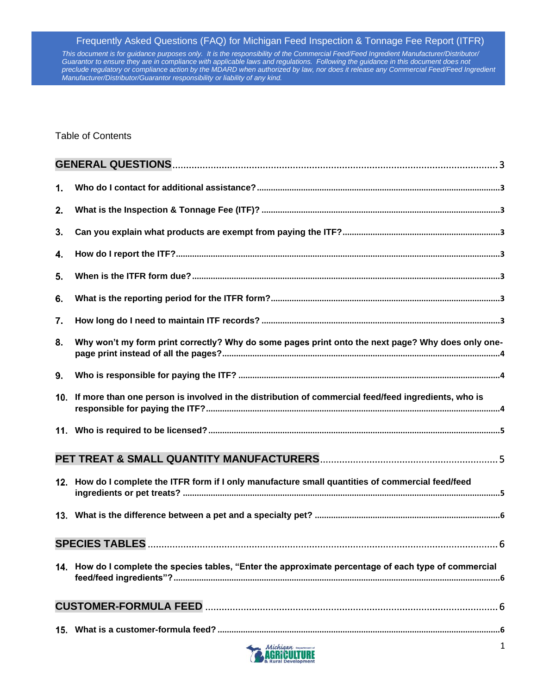*This document is for guidance purposes only. It is the responsibility of the Commercial Feed/Feed Ingredient Manufacturer/Distributor/* Guarantor to ensure they are in compliance with applicable laws and regulations. Following the guidance in this document does not *preclude regulatory or compliance action by the MDARD when authorized by law, nor does it release any Commercial Feed/Feed Ingredient Manufacturer/Distributor/Guarantor responsibility or liability of any kind.*

Table of Contents

| $\mathbf 1$ |                                                                                                         |
|-------------|---------------------------------------------------------------------------------------------------------|
| 2.          |                                                                                                         |
| 3.          |                                                                                                         |
| 4.          |                                                                                                         |
| 5.          |                                                                                                         |
| 6.          |                                                                                                         |
| 7.          |                                                                                                         |
| 8.          | Why won't my form print correctly? Why do some pages print onto the next page? Why does only one-       |
| 9.          |                                                                                                         |
|             | 10. If more than one person is involved in the distribution of commercial feed/feed ingredients, who is |
|             |                                                                                                         |
|             |                                                                                                         |
|             | 12. How do I complete the ITFR form if I only manufacture small quantities of commercial feed/feed      |
|             |                                                                                                         |
|             |                                                                                                         |
|             | 14. How do I complete the species tables, "Enter the approximate percentage of each type of commercial  |
|             |                                                                                                         |
|             |                                                                                                         |

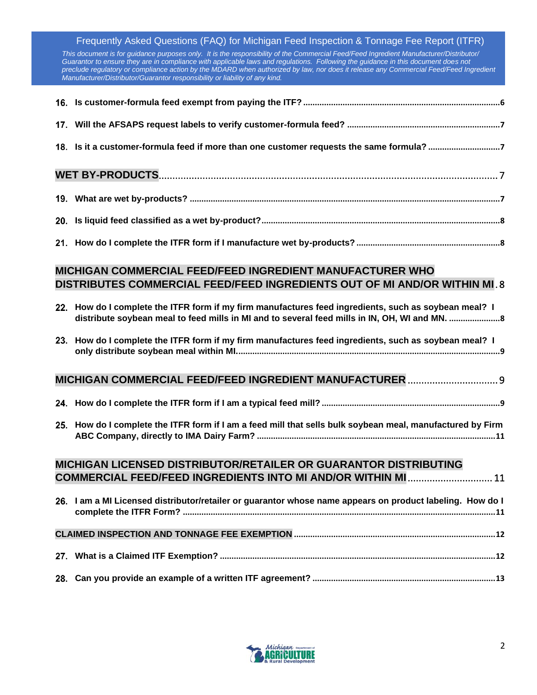*This document is for guidance purposes only. It is the responsibility of the Commercial Feed/Feed Ingredient Manufacturer/Distributor/ Guarantor to ensure they are in compliance with applicable laws and regulations. Following the guidance in this document does not preclude regulatory or compliance action by the MDARD when authorized by law, nor does it release any Commercial Feed/Feed Ingredient Manufacturer/Distributor/Guarantor responsibility or liability of any kind.*

| 18. Is it a customer-formula feed if more than one customer requests the same formula? 7 |  |  |  |  |
|------------------------------------------------------------------------------------------|--|--|--|--|
|                                                                                          |  |  |  |  |
|                                                                                          |  |  |  |  |
|                                                                                          |  |  |  |  |

# **[How do I complete the ITFR form if I manufacture wet by-products?](#page-7-1) .............................................................[.8](#page-7-1)**

## **[MICHIGAN COMMERCIAL FEED/FEED INGREDIENT MANUFACTURER WHO](#page-7-2)  [DISTRIBUTES COMMERCIAL FEED/FEED INGREDIENTS OUT OF MI AND/OR WITHIN MI](#page-7-2)** . 8

| 22. How do I complete the ITFR form if my firm manufactures feed ingredients, such as soybean meal? I<br>distribute soybean meal to feed mills in MI and to several feed mills in IN, OH, WI and MN. |
|------------------------------------------------------------------------------------------------------------------------------------------------------------------------------------------------------|
| 23. How do I complete the ITFR form if my firm manufactures feed ingredients, such as soybean meal? I                                                                                                |
| MICHIGAN COMMERCIAL FEED/FEED INGREDIENT MANUFACTURER  9                                                                                                                                             |
|                                                                                                                                                                                                      |
|                                                                                                                                                                                                      |
| 25. How do I complete the ITFR form if I am a feed mill that sells bulk soybean meal, manufactured by Firm                                                                                           |
| MICHIGAN LICENSED DISTRIBUTOR/RETAILER OR GUARANTOR DISTRIBUTING                                                                                                                                     |
| COMMERCIAL FEED/FEED INGREDIENTS INTO MI AND/OR WITHIN MI 11                                                                                                                                         |
|                                                                                                                                                                                                      |
| 26. I am a MI Licensed distributor/retailer or guarantor whose name appears on product labeling. How do I                                                                                            |
|                                                                                                                                                                                                      |
|                                                                                                                                                                                                      |
|                                                                                                                                                                                                      |
|                                                                                                                                                                                                      |

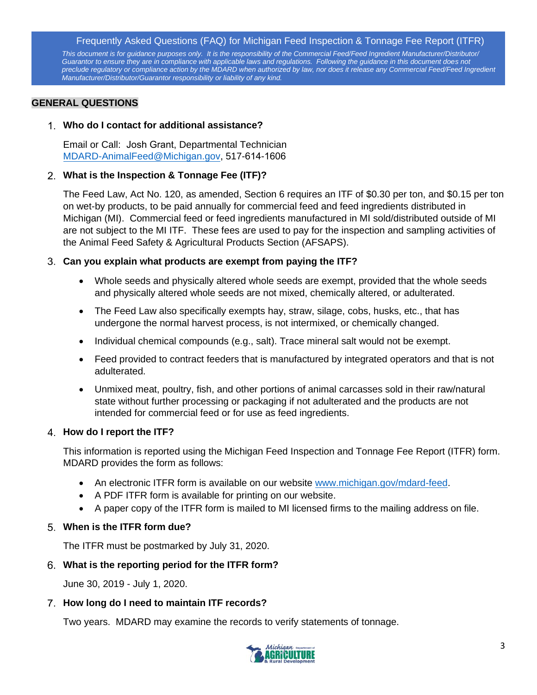*This document is for guidance purposes only. It is the responsibility of the Commercial Feed/Feed Ingredient Manufacturer/Distributor/* Guarantor to ensure they are in compliance with applicable laws and regulations. Following the guidance in this document does not *preclude regulatory or compliance action by the MDARD when authorized by law, nor does it release any Commercial Feed/Feed Ingredient Manufacturer/Distributor/Guarantor responsibility or liability of any kind.*

#### <span id="page-2-0"></span>**GENERAL QUESTIONS**

#### <span id="page-2-1"></span>**Who do I contact for additional assistance?**

Email or Call: Josh Grant, Departmental Technician [MDARD-AnimalFeed@Michigan.gov,](mailto:MDARD-AnimalFeed@Michigan.gov) 517-614-1606

#### <span id="page-2-2"></span>**What is the Inspection & Tonnage Fee (ITF)?**

The Feed Law, Act No. 120, as amended, Section 6 requires an ITF of \$0.30 per ton, and \$0.15 per ton on wet-by products, to be paid annually for commercial feed and feed ingredients distributed in Michigan (MI). Commercial feed or feed ingredients manufactured in MI sold/distributed outside of MI are not subject to the MI ITF. These fees are used to pay for the inspection and sampling activities of the Animal Feed Safety & Agricultural Products Section (AFSAPS).

#### <span id="page-2-3"></span>**Can you explain what products are exempt from paying the ITF?**

- Whole seeds and physically altered whole seeds are exempt, provided that the whole seeds and physically altered whole seeds are not mixed, chemically altered, or adulterated.
- The Feed Law also specifically exempts hay, straw, silage, cobs, husks, etc., that has undergone the normal harvest process, is not intermixed, or chemically changed.
- Individual chemical compounds (e.g., salt). Trace mineral salt would not be exempt.
- Feed provided to contract feeders that is manufactured by integrated operators and that is not adulterated.
- Unmixed meat, poultry, fish, and other portions of animal carcasses sold in their raw/natural state without further processing or packaging if not adulterated and the products are not intended for commercial feed or for use as feed ingredients.

## <span id="page-2-4"></span>**How do I report the ITF?**

This information is reported using the Michigan Feed Inspection and Tonnage Fee Report (ITFR) form. MDARD provides the form as follows:

- An electronic ITFR form is available on our [website](http://www.michigan.gov/mda-feed) [www.michigan.gov/mdard-feed.](http://www.michigan.gov/mdard-feed)
- A PDF ITFR form is available for printing on our website.
- A paper copy of the ITFR form is mailed to MI licensed firms to the mailing address on file.

## <span id="page-2-5"></span>**When is the ITFR form due?**

The ITFR must be postmarked by July 31, 2020.

## <span id="page-2-6"></span>**What is the reporting period for the ITFR form?**

June 30, 2019 - July 1, 2020.

## <span id="page-2-7"></span>**How long do I need to maintain ITF records?**

Two years. MDARD may examine the records to verify statements of tonnage.

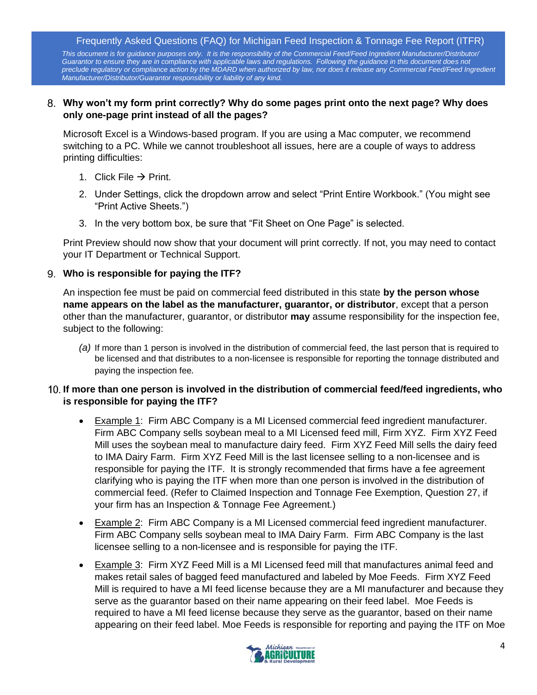*This document is for guidance purposes only. It is the responsibility of the Commercial Feed/Feed Ingredient Manufacturer/Distributor/* Guarantor to ensure they are in compliance with applicable laws and regulations. Following the guidance in this document does not *preclude regulatory or compliance action by the MDARD when authorized by law, nor does it release any Commercial Feed/Feed Ingredient Manufacturer/Distributor/Guarantor responsibility or liability of any kind.*

#### <span id="page-3-0"></span>**Why won't my form print correctly? Why do some pages print onto the next page? Why does only one-page print instead of all the pages?**

Microsoft Excel is a Windows-based program. If you are using a Mac computer, we recommend switching to a PC. While we cannot troubleshoot all issues, here are a couple of ways to address printing difficulties:

- 1. Click File  $\rightarrow$  Print.
- 2. Under Settings, click the dropdown arrow and select "Print Entire Workbook." (You might see "Print Active Sheets.")
- 3. In the very bottom box, be sure that "Fit Sheet on One Page" is selected.

Print Preview should now show that your document will print correctly. If not, you may need to contact your IT Department or Technical Support.

#### <span id="page-3-1"></span>**Who is responsible for paying the ITF?**

An inspection fee must be paid on commercial feed distributed in this state **by the person whose name appears on the label as the manufacturer, guarantor, or distributor**, except that a person other than the manufacturer, guarantor, or distributor **may** assume responsibility for the inspection fee, subject to the following:

*(a)* If more than 1 person is involved in the distribution of commercial feed, the last person that is required to be licensed and that distributes to a non-licensee is responsible for reporting the tonnage distributed and paying the inspection fee*.*

## <span id="page-3-2"></span>**If more than one person is involved in the distribution of commercial feed/feed ingredients, who is responsible for paying the ITF?**

- Example 1: Firm ABC Company is a MI Licensed commercial feed ingredient manufacturer. Firm ABC Company sells soybean meal to a MI Licensed feed mill, Firm XYZ. Firm XYZ Feed Mill uses the soybean meal to manufacture dairy feed. Firm XYZ Feed Mill sells the dairy feed to IMA Dairy Farm. Firm XYZ Feed Mill is the last licensee selling to a non-licensee and is responsible for paying the ITF. It is strongly recommended that firms have a fee agreement clarifying who is paying the ITF when more than one person is involved in the distribution of commercial feed. (Refer to Claimed Inspection and Tonnage Fee Exemption, Question 27, if your firm has an Inspection & Tonnage Fee Agreement.)
- Example 2:Firm ABC Company is a MI Licensed commercial feed ingredient manufacturer. Firm ABC Company sells soybean meal to IMA Dairy Farm. Firm ABC Company is the last licensee selling to a non-licensee and is responsible for paying the ITF.
- Example 3:Firm XYZ Feed Mill is a MI Licensed feed mill that manufactures animal feed and makes retail sales of bagged feed manufactured and labeled by Moe Feeds. Firm XYZ Feed Mill is required to have a MI feed license because they are a MI manufacturer and because they serve as the guarantor based on their name appearing on their feed label. Moe Feeds is required to have a MI feed license because they serve as the guarantor, based on their name appearing on their feed label. Moe Feeds is responsible for reporting and paying the ITF on Moe

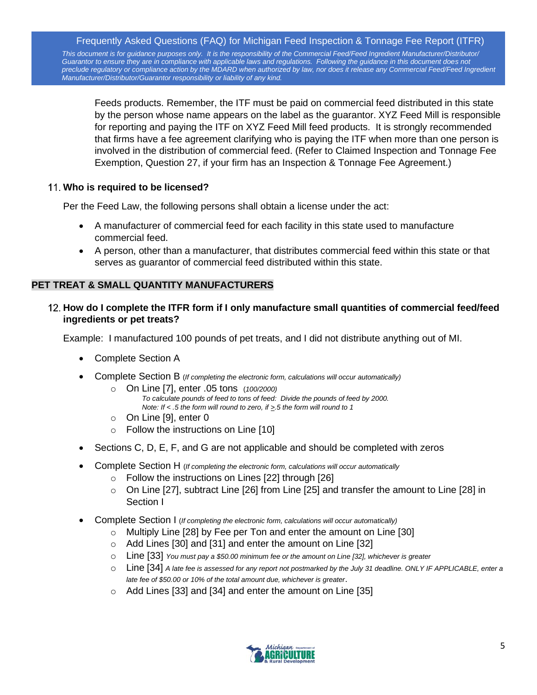*This document is for guidance purposes only. It is the responsibility of the Commercial Feed/Feed Ingredient Manufacturer/Distributor/* Guarantor to ensure they are in compliance with applicable laws and regulations. Following the guidance in this document does not *preclude regulatory or compliance action by the MDARD when authorized by law, nor does it release any Commercial Feed/Feed Ingredient Manufacturer/Distributor/Guarantor responsibility or liability of any kind.*

Feeds products. Remember, the ITF must be paid on commercial feed distributed in this state by the person whose name appears on the label as the guarantor. XYZ Feed Mill is responsible for reporting and paying the ITF on XYZ Feed Mill feed products. It is strongly recommended that firms have a fee agreement clarifying who is paying the ITF when more than one person is involved in the distribution of commercial feed. (Refer to Claimed Inspection and Tonnage Fee Exemption, Question 27, if your firm has an Inspection & Tonnage Fee Agreement.)

## <span id="page-4-0"></span>**Who is required to be licensed?**

Per the Feed Law, the following persons shall obtain a license under the act:

- A manufacturer of commercial feed for each facility in this state used to manufacture commercial feed.
- A person, other than a manufacturer, that distributes commercial feed within this state or that serves as guarantor of commercial feed distributed within this state.

## <span id="page-4-1"></span>**PET TREAT & SMALL QUANTITY MANUFACTURERS**

## <span id="page-4-2"></span>**How do I complete the ITFR form if I only manufacture small quantities of commercial feed/feed ingredients or pet treats?**

Example: I manufactured 100 pounds of pet treats, and I did not distribute anything out of MI.

- Complete Section A
- Complete Section B (*If completing the electronic form, calculations will occur automatically)*
	- o On Line [7], enter .05 tons (*100/2000) To calculate pounds of feed to tons of feed: Divide the pounds of feed by 2000. Note: If < .5 the form will round to zero, if >.5 the form will round to 1*
	- o On Line [9], enter 0
	- o Follow the instructions on Line [10]
- Sections C, D, E, F, and G are not applicable and should be completed with zeros
- Complete Section H (*If completing the electronic form, calculations will occur automatically*
	- o Follow the instructions on Lines [22] through [26]
	- $\circ$  On Line [27], subtract Line [26] from Line [25] and transfer the amount to Line [28] in Section I
- Complete Section I (*If completing the electronic form, calculations will occur automatically)*
	- o Multiply Line [28] by Fee per Ton and enter the amount on Line [30]
		- o Add Lines [30] and [31] and enter the amount on Line [32]
		- o Line [33] *You must pay a \$50.00 minimum fee or the amount on Line [32], whichever is greater*
		- o Line [34] *A late fee is assessed for any report not postmarked by the July 31 deadline. ONLY IF APPLICABLE, enter a late fee of \$50.00 or 10% of the total amount due, whichever is greater*.
		- $\circ$  Add Lines [33] and [34] and enter the amount on Line [35]

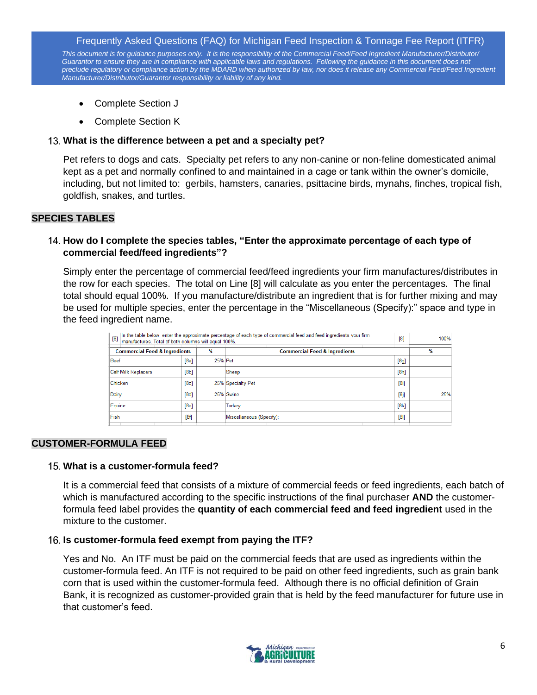*This document is for guidance purposes only. It is the responsibility of the Commercial Feed/Feed Ingredient Manufacturer/Distributor/* Guarantor to ensure they are in compliance with applicable laws and regulations. Following the guidance in this document does not *preclude regulatory or compliance action by the MDARD when authorized by law, nor does it release any Commercial Feed/Feed Ingredient Manufacturer/Distributor/Guarantor responsibility or liability of any kind.*

- Complete Section J
- Complete Section K

#### <span id="page-5-0"></span>**What is the difference between a pet and a specialty pet?**

Pet refers to dogs and cats. Specialty pet refers to any non-canine or non-feline domesticated animal kept as a pet and normally confined to and maintained in a cage or tank within the owner's domicile, including, but not limited to: gerbils, hamsters, canaries, psittacine birds, mynahs, finches, tropical fish, goldfish, snakes, and turtles.

#### <span id="page-5-1"></span>**SPECIES TABLES**

## <span id="page-5-2"></span>**How do I complete the species tables, "Enter the approximate percentage of each type of commercial feed/feed ingredients"?**

Simply enter the percentage of commercial feed/feed ingredients your firm manufactures/distributes in the row for each species. The total on Line [8] will calculate as you enter the percentages. The final total should equal 100%. If you manufacture/distribute an ingredient that is for further mixing and may be used for multiple species, enter the percentage in the "Miscellaneous (Specify):" space and type in the feed ingredient name.

| In the table below, enter the approximate percentage of each type of commercial feed and feed ingredients your firm<br>[8]<br>[8]<br>manufactures. Total of both columns will equal 100%. |      |         |                                          |      |     |
|-------------------------------------------------------------------------------------------------------------------------------------------------------------------------------------------|------|---------|------------------------------------------|------|-----|
| <b>Commercial Feed &amp; Ingredients</b>                                                                                                                                                  |      | $\%$    | <b>Commercial Feed &amp; Ingredients</b> |      | %   |
| <b>Beef</b>                                                                                                                                                                               | [8a] | 25% Pet |                                          | [8g] |     |
| <b>Calf Milk Replacers</b>                                                                                                                                                                | [8b] |         | Sheep                                    | [8h] |     |
| Chicken                                                                                                                                                                                   | [8c] |         | 25% Specialty Pet                        | [8i] |     |
| Dairy                                                                                                                                                                                     | [8d] |         | 25% Swine                                | [8]  | 25% |
| Equine                                                                                                                                                                                    | [8e] |         | Turkey                                   | [8k] |     |
| <b>Fish</b>                                                                                                                                                                               | [8f] |         | Miscellaneous (Specify):                 | [81] |     |

#### <span id="page-5-3"></span>**CUSTOMER-FORMULA FEED**

#### <span id="page-5-4"></span>**What is a customer-formula feed?**

It is a commercial feed that consists of a mixture of commercial feeds or feed ingredients, each batch of which is manufactured according to the specific instructions of the final purchaser **AND** the customerformula feed label provides the **quantity of each commercial feed and feed ingredient** used in the mixture to the customer.

#### <span id="page-5-5"></span>**Is customer-formula feed exempt from paying the ITF?**

Yes and No. An ITF must be paid on the commercial feeds that are used as ingredients within the customer-formula feed. An ITF is not required to be paid on other feed ingredients, such as grain bank corn that is used within the customer-formula feed. Although there is no official definition of Grain Bank, it is recognized as customer-provided grain that is held by the feed manufacturer for future use in that customer's feed.

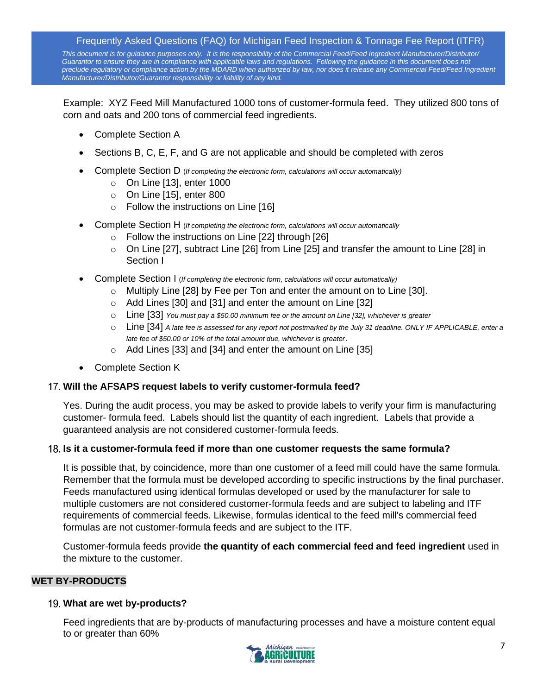*This document is for guidance purposes only. It is the responsibility of the Commercial Feed/Feed Ingredient Manufacturer/Distributor/* Guarantor to ensure they are in compliance with applicable laws and regulations. Following the guidance in this document does not *preclude regulatory or compliance action by the MDARD when authorized by law, nor does it release any Commercial Feed/Feed Ingredient Manufacturer/Distributor/Guarantor responsibility or liability of any kind.*

Example: XYZ Feed Mill Manufactured 1000 tons of customer-formula feed. They utilized 800 tons of corn and oats and 200 tons of commercial feed ingredients.

- Complete Section A
- Sections B, C, E, F, and G are not applicable and should be completed with zeros
- Complete Section D (*If completing the electronic form, calculations will occur automatically)*
	- o On Line [13], enter 1000
	- $\circ$  On Line [15], enter 800
	- o Follow the instructions on Line [16]
- Complete Section H (*If completing the electronic form, calculations will occur automatically*
	- $\circ$  Follow the instructions on Line [22] through [26]
	- $\circ$  On Line [27], subtract Line [26] from Line [25] and transfer the amount to Line [28] in Section I
- Complete Section I (*If completing the electronic form, calculations will occur automatically)*
	- $\circ$  Multiply Line [28] by Fee per Ton and enter the amount on to Line [30].
	- o Add Lines [30] and [31] and enter the amount on Line [32]
	- o Line [33] *You must pay a \$50.00 minimum fee or the amount on Line [32], whichever is greater*
	- o Line [34] *A late fee is assessed for any report not postmarked by the July 31 deadline. ONLY IF APPLICABLE, enter a late fee of \$50.00 or 10% of the total amount due, whichever is greater*.
	- o Add Lines [33] and [34] and enter the amount on Line [35]
- Complete Section K

## <span id="page-6-0"></span>**Will the AFSAPS request labels to verify customer-formula feed?**

Yes. During the audit process, you may be asked to provide labels to verify your firm is manufacturing customer- formula feed. Labels should list the quantity of each ingredient. Labels that provide a guaranteed analysis are not considered customer-formula feeds.

## <span id="page-6-1"></span>**Is it a customer-formula feed if more than one customer requests the same formula?**

It is possible that, by coincidence, more than one customer of a feed mill could have the same formula. Remember that the formula must be developed according to specific instructions by the final purchaser. Feeds manufactured using identical formulas developed or used by the manufacturer for sale to multiple customers are not considered customer-formula feeds and are subject to labeling and ITF requirements of commercial feeds. Likewise, formulas identical to the feed mill's commercial feed formulas are not customer-formula feeds and are subject to the ITF.

Customer-formula feeds provide **the quantity of each commercial feed and feed ingredient** used in the mixture to the customer.

## <span id="page-6-2"></span>**WET BY-PRODUCTS**

## <span id="page-6-3"></span>**What are wet by-products?**

Feed ingredients that are by-products of manufacturing processes and have a moisture content equal to or greater than 60%

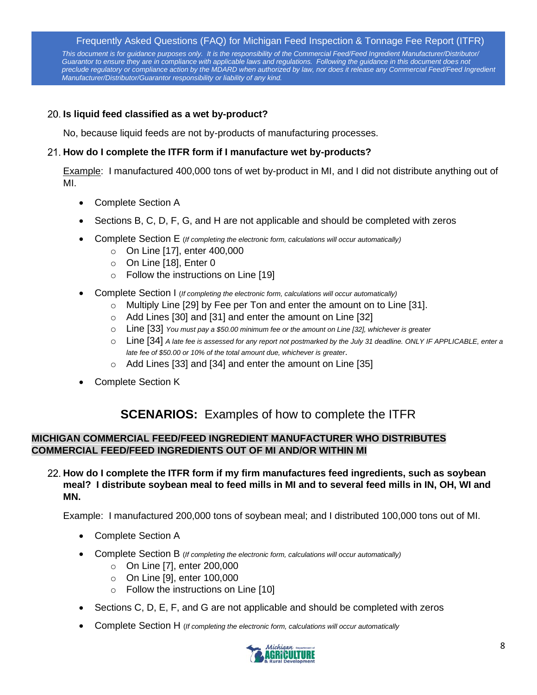*This document is for guidance purposes only. It is the responsibility of the Commercial Feed/Feed Ingredient Manufacturer/Distributor/* Guarantor to ensure they are in compliance with applicable laws and regulations. Following the guidance in this document does not *preclude regulatory or compliance action by the MDARD when authorized by law, nor does it release any Commercial Feed/Feed Ingredient Manufacturer/Distributor/Guarantor responsibility or liability of any kind.*

## <span id="page-7-0"></span>**Is liquid feed classified as a wet by-product?**

No, because liquid feeds are not by-products of manufacturing processes.

## <span id="page-7-1"></span>**How do I complete the ITFR form if I manufacture wet by-products?**

Example: I manufactured 400,000 tons of wet by-product in MI, and I did not distribute anything out of MI.

- Complete Section A
- Sections B, C, D, F, G, and H are not applicable and should be completed with zeros
- Complete Section E (*If completing the electronic form, calculations will occur automatically)*
	- o On Line [17], enter 400,000
	- $\circ$  On Line [18], Enter 0
	- o Follow the instructions on Line [19]
- Complete Section I (*If completing the electronic form, calculations will occur automatically)*
	- $\circ$  Multiply Line [29] by Fee per Ton and enter the amount on to Line [31].
	- o Add Lines [30] and [31] and enter the amount on Line [32]
	- o Line [33] *You must pay a \$50.00 minimum fee or the amount on Line [32], whichever is greater*
	- o Line [34] *A late fee is assessed for any report not postmarked by the July 31 deadline. ONLY IF APPLICABLE, enter a late fee of \$50.00 or 10% of the total amount due, whichever is greater*.
	- $\circ$  Add Lines [33] and [34] and enter the amount on Line [35]
- Complete Section K

# **SCENARIOS:** Examples of how to complete the ITFR

## <span id="page-7-2"></span>**MICHIGAN COMMERCIAL FEED/FEED INGREDIENT MANUFACTURER WHO DISTRIBUTES COMMERCIAL FEED/FEED INGREDIENTS OUT OF MI AND/OR WITHIN MI**

<span id="page-7-3"></span>**How do I complete the ITFR form if my firm manufactures feed ingredients, such as soybean meal? I distribute soybean meal to feed mills in MI and to several feed mills in IN, OH, WI and MN.**

Example: I manufactured 200,000 tons of soybean meal; and I distributed 100,000 tons out of MI.

- Complete Section A
- Complete Section B (*If completing the electronic form, calculations will occur automatically)*
	- o On Line [7], enter 200,000
	- o On Line [9], enter 100,000
	- o Follow the instructions on Line [10]
- Sections C, D, E, F, and G are not applicable and should be completed with zeros
- Complete Section H (*If completing the electronic form, calculations will occur automatically*

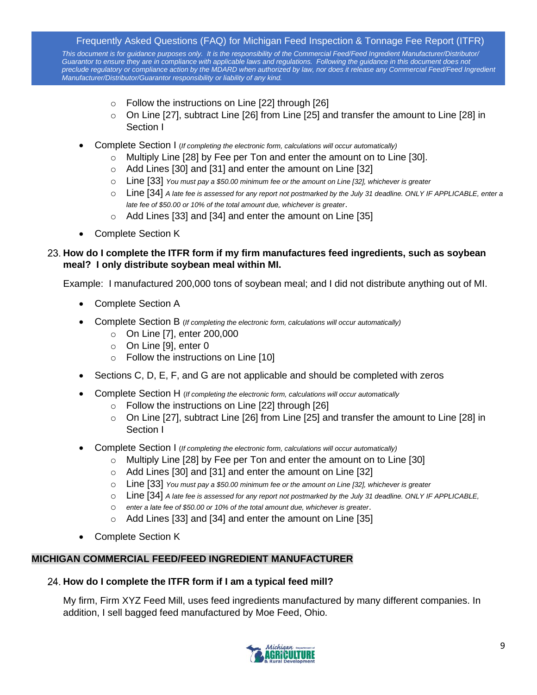*This document is for guidance purposes only. It is the responsibility of the Commercial Feed/Feed Ingredient Manufacturer/Distributor/* Guarantor to ensure they are in compliance with applicable laws and regulations. Following the guidance in this document does not *preclude regulatory or compliance action by the MDARD when authorized by law, nor does it release any Commercial Feed/Feed Ingredient Manufacturer/Distributor/Guarantor responsibility or liability of any kind.*

- $\circ$  Follow the instructions on Line [22] through [26]
- o On Line [27], subtract Line [26] from Line [25] and transfer the amount to Line [28] in Section I
- Complete Section I (*If completing the electronic form, calculations will occur automatically)*
	- $\circ$  Multiply Line [28] by Fee per Ton and enter the amount on to Line [30].
	- o Add Lines [30] and [31] and enter the amount on Line [32]
	- o Line [33] *You must pay a \$50.00 minimum fee or the amount on Line [32], whichever is greater*
	- o Line [34] *A late fee is assessed for any report not postmarked by the July 31 deadline. ONLY IF APPLICABLE, enter a late fee of \$50.00 or 10% of the total amount due, whichever is greater*.
	- o Add Lines [33] and [34] and enter the amount on Line [35]
- Complete Section K

## <span id="page-8-0"></span>**How do I complete the ITFR form if my firm manufactures feed ingredients, such as soybean meal? I only distribute soybean meal within MI.**

Example: I manufactured 200,000 tons of soybean meal; and I did not distribute anything out of MI.

- Complete Section A
- Complete Section B (*If completing the electronic form, calculations will occur automatically)*
	- o On Line [7], enter 200,000
	- o On Line [9], enter 0
	- o Follow the instructions on Line [10]
- Sections C, D, E, F, and G are not applicable and should be completed with zeros
- Complete Section H (*If completing the electronic form, calculations will occur automatically*
	- $\circ$  Follow the instructions on Line [22] through [26]
	- $\circ$  On Line [27], subtract Line [26] from Line [25] and transfer the amount to Line [28] in Section I
- Complete Section I (*If completing the electronic form, calculations will occur automatically)*
	- $\circ$  Multiply Line [28] by Fee per Ton and enter the amount on to Line [30]
	- o Add Lines [30] and [31] and enter the amount on Line [32]
	- o Line [33] *You must pay a \$50.00 minimum fee or the amount on Line [32], whichever is greater*
	- o Line [34] *A late fee is assessed for any report not postmarked by the July 31 deadline. ONLY IF APPLICABLE,*
	- o *enter a late fee of \$50.00 or 10% of the total amount due, whichever is greater*.
	- o Add Lines [33] and [34] and enter the amount on Line [35]
- Complete Section K

## <span id="page-8-1"></span>**MICHIGAN COMMERCIAL FEED/FEED INGREDIENT MANUFACTURER**

## <span id="page-8-2"></span>**How do I complete the ITFR form if I am a typical feed mill?**

My firm, Firm XYZ Feed Mill, uses feed ingredients manufactured by many different companies. In addition, I sell bagged feed manufactured by Moe Feed, Ohio.

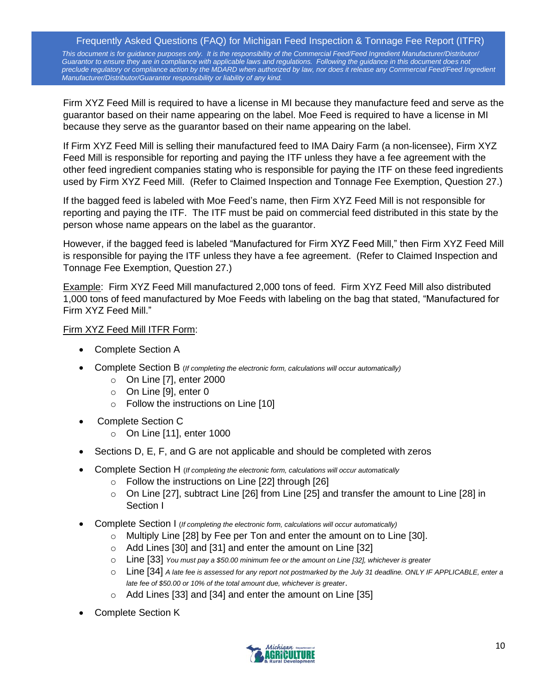*This document is for guidance purposes only. It is the responsibility of the Commercial Feed/Feed Ingredient Manufacturer/Distributor/* Guarantor to ensure they are in compliance with applicable laws and regulations. Following the guidance in this document does not *preclude regulatory or compliance action by the MDARD when authorized by law, nor does it release any Commercial Feed/Feed Ingredient Manufacturer/Distributor/Guarantor responsibility or liability of any kind.*

Firm XYZ Feed Mill is required to have a license in MI because they manufacture feed and serve as the guarantor based on their name appearing on the label. Moe Feed is required to have a license in MI because they serve as the guarantor based on their name appearing on the label.

If Firm XYZ Feed Mill is selling their manufactured feed to IMA Dairy Farm (a non-licensee), Firm XYZ Feed Mill is responsible for reporting and paying the ITF unless they have a fee agreement with the other feed ingredient companies stating who is responsible for paying the ITF on these feed ingredients used by Firm XYZ Feed Mill. (Refer to Claimed Inspection and Tonnage Fee Exemption, Question 27.)

If the bagged feed is labeled with Moe Feed's name, then Firm XYZ Feed Mill is not responsible for reporting and paying the ITF. The ITF must be paid on commercial feed distributed in this state by the person whose name appears on the label as the guarantor.

However, if the bagged feed is labeled "Manufactured for Firm XYZ Feed Mill," then Firm XYZ Feed Mill is responsible for paying the ITF unless they have a fee agreement. (Refer to Claimed Inspection and Tonnage Fee Exemption, Question 27.)

Example: Firm XYZ Feed Mill manufactured 2,000 tons of feed. Firm XYZ Feed Mill also distributed 1,000 tons of feed manufactured by Moe Feeds with labeling on the bag that stated, "Manufactured for Firm XYZ Feed Mill."

## Firm XYZ Feed Mill ITFR Form:

- Complete Section A
- Complete Section B (*If completing the electronic form, calculations will occur automatically)*
	- $\circ$  On Line [7], enter 2000
	- o On Line [9], enter 0
	- o Follow the instructions on Line [10]
- Complete Section C
	- o On Line [11], enter 1000
- Sections D, E, F, and G are not applicable and should be completed with zeros
- Complete Section H (*If completing the electronic form, calculations will occur automatically*
	- $\circ$  Follow the instructions on Line [22] through [26]
	- $\circ$  On Line [27], subtract Line [26] from Line [25] and transfer the amount to Line [28] in Section I
- Complete Section I (*If completing the electronic form, calculations will occur automatically)*
	- o Multiply Line [28] by Fee per Ton and enter the amount on to Line [30].
	- o Add Lines [30] and [31] and enter the amount on Line [32]
	- o Line [33] *You must pay a \$50.00 minimum fee or the amount on Line [32], whichever is greater*
	- o Line [34] *A late fee is assessed for any report not postmarked by the July 31 deadline. ONLY IF APPLICABLE, enter a late fee of \$50.00 or 10% of the total amount due, whichever is greater*.
	- o Add Lines [33] and [34] and enter the amount on Line [35]
- Complete Section K

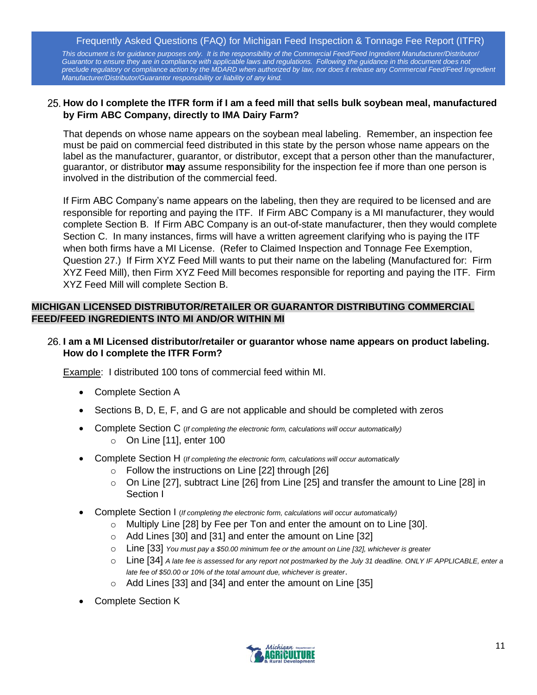*This document is for guidance purposes only. It is the responsibility of the Commercial Feed/Feed Ingredient Manufacturer/Distributor/* Guarantor to ensure they are in compliance with applicable laws and regulations. Following the guidance in this document does not *preclude regulatory or compliance action by the MDARD when authorized by law, nor does it release any Commercial Feed/Feed Ingredient Manufacturer/Distributor/Guarantor responsibility or liability of any kind.*

#### <span id="page-10-0"></span>**How do I complete the ITFR form if I am a feed mill that sells bulk soybean meal, manufactured by Firm ABC Company, directly to IMA Dairy Farm?**

That depends on whose name appears on the soybean meal labeling. Remember, an inspection fee must be paid on commercial feed distributed in this state by the person whose name appears on the label as the manufacturer, guarantor, or distributor, except that a person other than the manufacturer, guarantor, or distributor **may** assume responsibility for the inspection fee if more than one person is involved in the distribution of the commercial feed.

If Firm ABC Company's name appears on the labeling, then they are required to be licensed and are responsible for reporting and paying the ITF. If Firm ABC Company is a MI manufacturer, they would complete Section B. If Firm ABC Company is an out-of-state manufacturer, then they would complete Section C. In many instances, firms will have a written agreement clarifying who is paying the ITF when both firms have a MI License. (Refer to Claimed Inspection and Tonnage Fee Exemption, Question 27.) If Firm XYZ Feed Mill wants to put their name on the labeling (Manufactured for: Firm XYZ Feed Mill), then Firm XYZ Feed Mill becomes responsible for reporting and paying the ITF. Firm XYZ Feed Mill will complete Section B.

## <span id="page-10-1"></span>**MICHIGAN LICENSED DISTRIBUTOR/RETAILER OR GUARANTOR DISTRIBUTING COMMERCIAL FEED/FEED INGREDIENTS INTO MI AND/OR WITHIN MI**

#### <span id="page-10-2"></span>**I am a MI Licensed distributor/retailer or guarantor whose name appears on product labeling. How do I complete the ITFR Form?**

Example: I distributed 100 tons of commercial feed within MI.

- Complete Section A
- Sections B, D, E, F, and G are not applicable and should be completed with zeros
- Complete Section C (*If completing the electronic form, calculations will occur automatically)*  $\circ$  On Line [11], enter 100
- Complete Section H (*If completing the electronic form, calculations will occur automatically*
	- $\circ$  Follow the instructions on Line [22] through [26]
	- o On Line [27], subtract Line [26] from Line [25] and transfer the amount to Line [28] in Section I
- Complete Section I (*If completing the electronic form, calculations will occur automatically)*
	- $\circ$  Multiply Line [28] by Fee per Ton and enter the amount on to Line [30].
	- o Add Lines [30] and [31] and enter the amount on Line [32]
	- o Line [33] *You must pay a \$50.00 minimum fee or the amount on Line [32], whichever is greater*
	- o Line [34] *A late fee is assessed for any report not postmarked by the July 31 deadline. ONLY IF APPLICABLE, enter a late fee of \$50.00 or 10% of the total amount due, whichever is greater*.
	- o Add Lines [33] and [34] and enter the amount on Line [35]
- Complete Section K

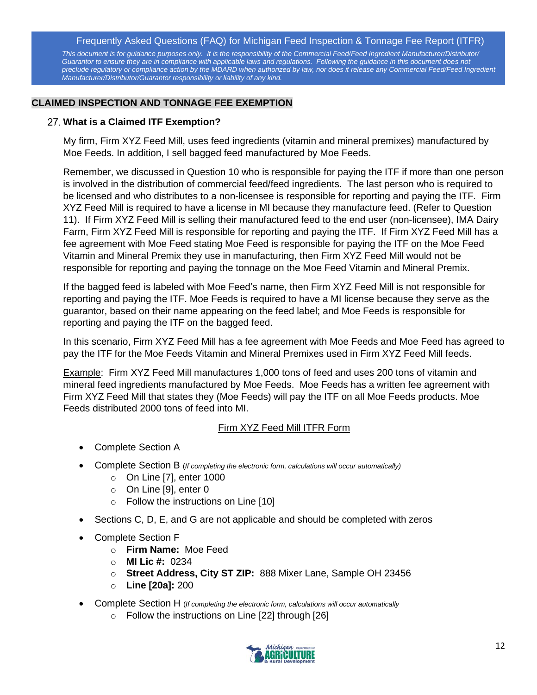*This document is for guidance purposes only. It is the responsibility of the Commercial Feed/Feed Ingredient Manufacturer/Distributor/* Guarantor to ensure they are in compliance with applicable laws and regulations. Following the guidance in this document does not *preclude regulatory or compliance action by the MDARD when authorized by law, nor does it release any Commercial Feed/Feed Ingredient Manufacturer/Distributor/Guarantor responsibility or liability of any kind.*

#### <span id="page-11-0"></span>**CLAIMED INSPECTION AND TONNAGE FEE EXEMPTION**

#### <span id="page-11-1"></span>**What is a Claimed ITF Exemption?**

My firm, Firm XYZ Feed Mill, uses feed ingredients (vitamin and mineral premixes) manufactured by Moe Feeds. In addition, I sell bagged feed manufactured by Moe Feeds.

Remember, we discussed in Question 10 who is responsible for paying the ITF if more than one person is involved in the distribution of commercial feed/feed ingredients. The last person who is required to be licensed and who distributes to a non-licensee is responsible for reporting and paying the ITF. Firm XYZ Feed Mill is required to have a license in MI because they manufacture feed. (Refer to Question 11). If Firm XYZ Feed Mill is selling their manufactured feed to the end user (non-licensee), IMA Dairy Farm, Firm XYZ Feed Mill is responsible for reporting and paying the ITF. If Firm XYZ Feed Mill has a fee agreement with Moe Feed stating Moe Feed is responsible for paying the ITF on the Moe Feed Vitamin and Mineral Premix they use in manufacturing, then Firm XYZ Feed Mill would not be responsible for reporting and paying the tonnage on the Moe Feed Vitamin and Mineral Premix.

If the bagged feed is labeled with Moe Feed's name, then Firm XYZ Feed Mill is not responsible for reporting and paying the ITF. Moe Feeds is required to have a MI license because they serve as the guarantor, based on their name appearing on the feed label; and Moe Feeds is responsible for reporting and paying the ITF on the bagged feed.

In this scenario, Firm XYZ Feed Mill has a fee agreement with Moe Feeds and Moe Feed has agreed to pay the ITF for the Moe Feeds Vitamin and Mineral Premixes used in Firm XYZ Feed Mill feeds.

Example: Firm XYZ Feed Mill manufactures 1,000 tons of feed and uses 200 tons of vitamin and mineral feed ingredients manufactured by Moe Feeds. Moe Feeds has a written fee agreement with Firm XYZ Feed Mill that states they (Moe Feeds) will pay the ITF on all Moe Feeds products. Moe Feeds distributed 2000 tons of feed into MI.

#### Firm XYZ Feed Mill ITFR Form

- Complete Section A
- Complete Section B (*If completing the electronic form, calculations will occur automatically)*
	- $\circ$  On Line [7], enter 1000
	- o On Line [9], enter 0
	- o Follow the instructions on Line [10]
- Sections C, D, E, and G are not applicable and should be completed with zeros
- Complete Section F
	- o **Firm Name:** Moe Feed
	- o **MI Lic #:** 0234
	- o **Street Address, City ST ZIP:** 888 Mixer Lane, Sample OH 23456
	- o **Line [20a]:** 200
- Complete Section H (*If completing the electronic form, calculations will occur automatically*
	- o Follow the instructions on Line [22] through [26]

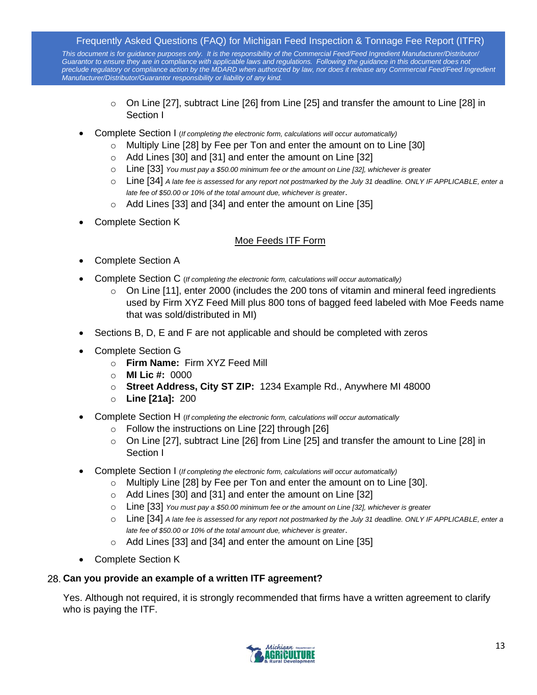*This document is for guidance purposes only. It is the responsibility of the Commercial Feed/Feed Ingredient Manufacturer/Distributor/* Guarantor to ensure they are in compliance with applicable laws and regulations. Following the guidance in this document does not *preclude regulatory or compliance action by the MDARD when authorized by law, nor does it release any Commercial Feed/Feed Ingredient Manufacturer/Distributor/Guarantor responsibility or liability of any kind.*

- $\circ$  On Line [27], subtract Line [26] from Line [25] and transfer the amount to Line [28] in Section I
- Complete Section I (*If completing the electronic form, calculations will occur automatically)*
	- o Multiply Line [28] by Fee per Ton and enter the amount on to Line [30]
	- o Add Lines [30] and [31] and enter the amount on Line [32]
	- o Line [33] *You must pay a \$50.00 minimum fee or the amount on Line [32], whichever is greater*
	- o Line [34] *A late fee is assessed for any report not postmarked by the July 31 deadline. ONLY IF APPLICABLE, enter a late fee of \$50.00 or 10% of the total amount due, whichever is greater*.
	- o Add Lines [33] and [34] and enter the amount on Line [35]
- Complete Section K

## Moe Feeds ITF Form

- Complete Section A
- Complete Section C (*If completing the electronic form, calculations will occur automatically)*
	- $\circ$  On Line [11], enter 2000 (includes the 200 tons of vitamin and mineral feed ingredients used by Firm XYZ Feed Mill plus 800 tons of bagged feed labeled with Moe Feeds name that was sold/distributed in MI)
- Sections B, D, E and F are not applicable and should be completed with zeros
- Complete Section G
	- o **Firm Name:** Firm XYZ Feed Mill
	- o **MI Lic #:** 0000
	- o **Street Address, City ST ZIP:** 1234 Example Rd., Anywhere MI 48000
	- o **Line [21a]:** 200
- Complete Section H (*If completing the electronic form, calculations will occur automatically*
	- o Follow the instructions on Line [22] through [26]
	- $\circ$  On Line [27], subtract Line [26] from Line [25] and transfer the amount to Line [28] in Section I
- Complete Section I (*If completing the electronic form, calculations will occur automatically)*
	- o Multiply Line [28] by Fee per Ton and enter the amount on to Line [30].
	- o Add Lines [30] and [31] and enter the amount on Line [32]
	- o Line [33] *You must pay a \$50.00 minimum fee or the amount on Line [32], whichever is greater*
	- o Line [34] *A late fee is assessed for any report not postmarked by the July 31 deadline. ONLY IF APPLICABLE, enter a late fee of \$50.00 or 10% of the total amount due, whichever is greater*.
	- o Add Lines [33] and [34] and enter the amount on Line [35]
- Complete Section K

## <span id="page-12-0"></span>**Can you provide an example of a written ITF agreement?**

Yes. Although not required, it is strongly recommended that firms have a written agreement to clarify who is paying the ITF.